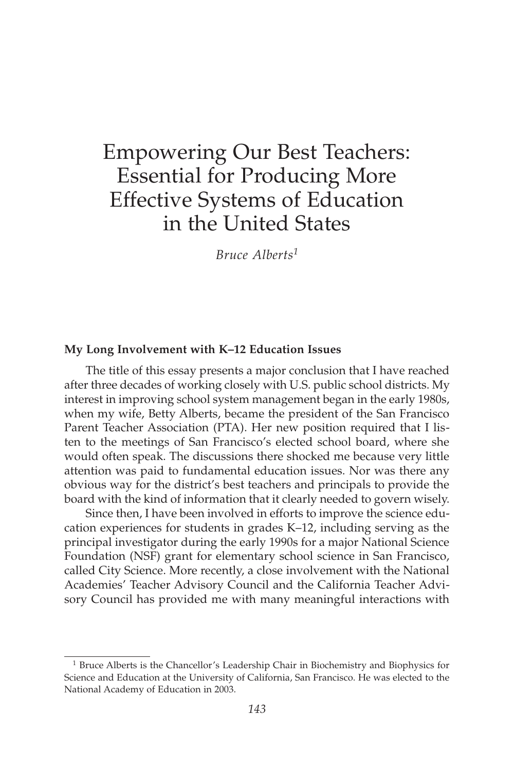# Empowering Our Best Teachers: Essential for Producing More Effective Systems of Education in the United States

*Bruce Alberts<sup>1</sup>*

#### **My Long Involvement with K–12 Education Issues**

The title of this essay presents a major conclusion that I have reached after three decades of working closely with U.S. public school districts. My interest in improving school system management began in the early 1980s, when my wife, Betty Alberts, became the president of the San Francisco Parent Teacher Association (PTA). Her new position required that I listen to the meetings of San Francisco's elected school board, where she would often speak. The discussions there shocked me because very little attention was paid to fundamental education issues. Nor was there any obvious way for the district's best teachers and principals to provide the board with the kind of information that it clearly needed to govern wisely.

Since then, I have been involved in efforts to improve the science education experiences for students in grades K–12, including serving as the principal investigator during the early 1990s for a major National Science Foundation (NSF) grant for elementary school science in San Francisco, called City Science. More recently, a close involvement with the National Academies' Teacher Advisory Council and the California Teacher Advisory Council has provided me with many meaningful interactions with

<sup>&</sup>lt;sup>1</sup> Bruce Alberts is the Chancellor's Leadership Chair in Biochemistry and Biophysics for Science and Education at the University of California, San Francisco. He was elected to the National Academy of Education in 2003.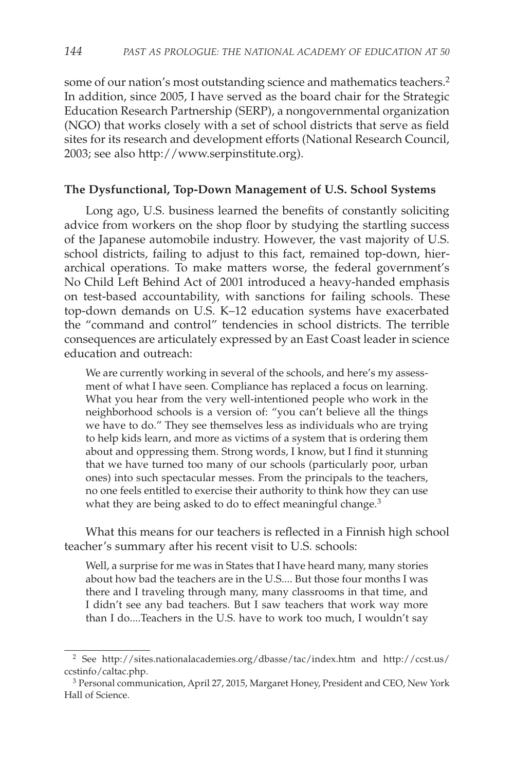some of our nation's most outstanding science and mathematics teachers.<sup>2</sup> In addition, since 2005, I have served as the board chair for the Strategic Education Research Partnership (SERP), a nongovernmental organization (NGO) that works closely with a set of school districts that serve as field sites for its research and development efforts (National Research Council, 2003; see also http://www.serpinstitute.org).

## **The Dysfunctional, Top-Down Management of U.S. School Systems**

Long ago, U.S. business learned the benefits of constantly soliciting advice from workers on the shop floor by studying the startling success of the Japanese automobile industry. However, the vast majority of U.S. school districts, failing to adjust to this fact, remained top-down, hierarchical operations. To make matters worse, the federal government's No Child Left Behind Act of 2001 introduced a heavy-handed emphasis on test-based accountability, with sanctions for failing schools. These top-down demands on U.S. K–12 education systems have exacerbated the "command and control" tendencies in school districts. The terrible consequences are articulately expressed by an East Coast leader in science education and outreach:

We are currently working in several of the schools, and here's my assessment of what I have seen. Compliance has replaced a focus on learning. What you hear from the very well-intentioned people who work in the neighborhood schools is a version of: "you can't believe all the things we have to do." They see themselves less as individuals who are trying to help kids learn, and more as victims of a system that is ordering them about and oppressing them. Strong words, I know, but I find it stunning that we have turned too many of our schools (particularly poor, urban ones) into such spectacular messes. From the principals to the teachers, no one feels entitled to exercise their authority to think how they can use what they are being asked to do to effect meaningful change.<sup>3</sup>

What this means for our teachers is reflected in a Finnish high school teacher's summary after his recent visit to U.S. schools:

Well, a surprise for me was in States that I have heard many, many stories about how bad the teachers are in the U.S.... But those four months I was there and I traveling through many, many classrooms in that time, and I didn't see any bad teachers. But I saw teachers that work way more than I do....Teachers in the U.S. have to work too much, I wouldn't say

<sup>2</sup> See http://sites.nationalacademies.org/dbasse/tac/index.htm and http://ccst.us/ ccstinfo/caltac.php.

<sup>3</sup> Personal communication, April 27, 2015, Margaret Honey, President and CEO, New York Hall of Science.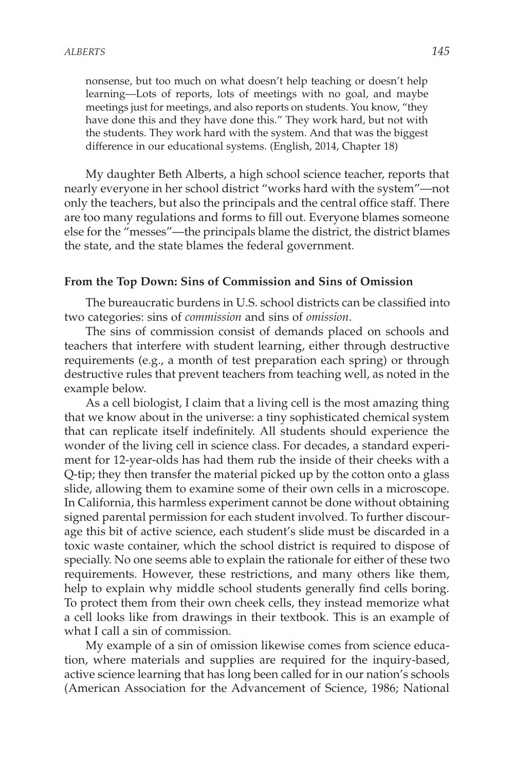nonsense, but too much on what doesn't help teaching or doesn't help learning—Lots of reports, lots of meetings with no goal, and maybe meetings just for meetings, and also reports on students. You know, "they have done this and they have done this." They work hard, but not with the students. They work hard with the system. And that was the biggest difference in our educational systems. (English, 2014, Chapter 18)

My daughter Beth Alberts, a high school science teacher, reports that nearly everyone in her school district "works hard with the system"—not only the teachers, but also the principals and the central office staff. There are too many regulations and forms to fill out. Everyone blames someone else for the "messes"—the principals blame the district, the district blames the state, and the state blames the federal government.

## **From the Top Down: Sins of Commission and Sins of Omission**

The bureaucratic burdens in U.S. school districts can be classified into two categories: sins of *commission* and sins of *omission*.

The sins of commission consist of demands placed on schools and teachers that interfere with student learning, either through destructive requirements (e.g., a month of test preparation each spring) or through destructive rules that prevent teachers from teaching well, as noted in the example below.

As a cell biologist, I claim that a living cell is the most amazing thing that we know about in the universe: a tiny sophisticated chemical system that can replicate itself indefinitely. All students should experience the wonder of the living cell in science class. For decades, a standard experiment for 12-year-olds has had them rub the inside of their cheeks with a Q-tip; they then transfer the material picked up by the cotton onto a glass slide, allowing them to examine some of their own cells in a microscope. In California, this harmless experiment cannot be done without obtaining signed parental permission for each student involved. To further discourage this bit of active science, each student's slide must be discarded in a toxic waste container, which the school district is required to dispose of specially. No one seems able to explain the rationale for either of these two requirements. However, these restrictions, and many others like them, help to explain why middle school students generally find cells boring. To protect them from their own cheek cells, they instead memorize what a cell looks like from drawings in their textbook. This is an example of what I call a sin of commission.

My example of a sin of omission likewise comes from science education, where materials and supplies are required for the inquiry-based, active science learning that has long been called for in our nation's schools (American Association for the Advancement of Science, 1986; National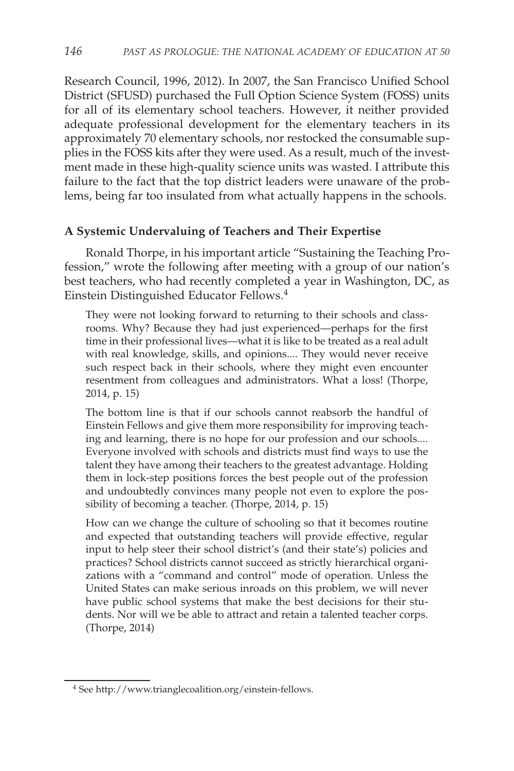Research Council, 1996, 2012). In 2007, the San Francisco Unified School District (SFUSD) purchased the Full Option Science System (FOSS) units for all of its elementary school teachers. However, it neither provided adequate professional development for the elementary teachers in its approximately 70 elementary schools, nor restocked the consumable supplies in the FOSS kits after they were used. As a result, much of the investment made in these high-quality science units was wasted. I attribute this failure to the fact that the top district leaders were unaware of the problems, being far too insulated from what actually happens in the schools.

## **A Systemic Undervaluing of Teachers and Their Expertise**

Ronald Thorpe, in his important article "Sustaining the Teaching Profession," wrote the following after meeting with a group of our nation's best teachers, who had recently completed a year in Washington, DC, as Einstein Distinguished Educator Fellows.<sup>4</sup>

They were not looking forward to returning to their schools and classrooms. Why? Because they had just experienced—perhaps for the first time in their professional lives—what it is like to be treated as a real adult with real knowledge, skills, and opinions.... They would never receive such respect back in their schools, where they might even encounter resentment from colleagues and administrators. What a loss! (Thorpe, 2014, p. 15)

The bottom line is that if our schools cannot reabsorb the handful of Einstein Fellows and give them more responsibility for improving teaching and learning, there is no hope for our profession and our schools.... Everyone involved with schools and districts must find ways to use the talent they have among their teachers to the greatest advantage. Holding them in lock-step positions forces the best people out of the profession and undoubtedly convinces many people not even to explore the possibility of becoming a teacher. (Thorpe, 2014, p. 15)

How can we change the culture of schooling so that it becomes routine and expected that outstanding teachers will provide effective, regular input to help steer their school district's (and their state's) policies and practices? School districts cannot succeed as strictly hierarchical organizations with a "command and control" mode of operation. Unless the United States can make serious inroads on this problem, we will never have public school systems that make the best decisions for their students. Nor will we be able to attract and retain a talented teacher corps. (Thorpe, 2014)

<sup>4</sup> See http://www.trianglecoalition.org/einstein-fellows.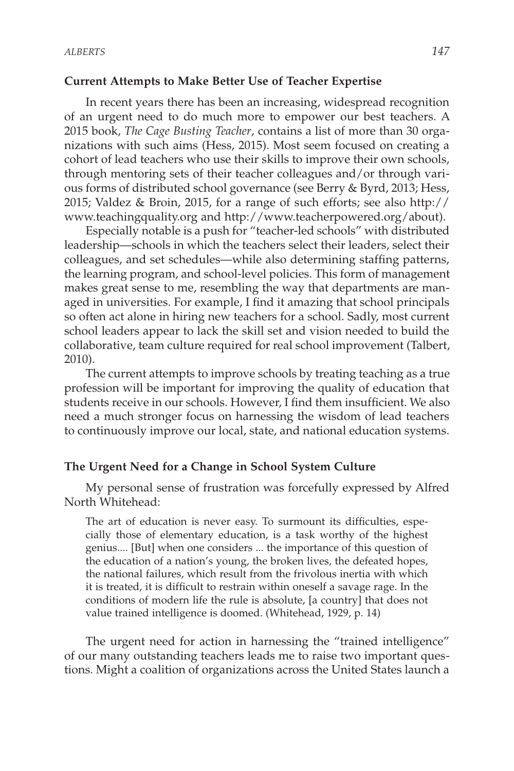#### **Current Attempts to Make Better Use of Teacher Expertise**

In recent years there has been an increasing, widespread recognition of an urgent need to do much more to empower our best teachers. A 2015 book, *The Cage Busting Teacher*, contains a list of more than 30 organizations with such aims (Hess, 2015). Most seem focused on creating a cohort of lead teachers who use their skills to improve their own schools, through mentoring sets of their teacher colleagues and/or through various forms of distributed school governance (see Berry & Byrd, 2013; Hess, 2015; Valdez & Broin, 2015, for a range of such efforts; see also http:// www.teachingquality.org and http://www.teacherpowered.org/about).

Especially notable is a push for "teacher-led schools" with distributed leadership—schools in which the teachers select their leaders, select their colleagues, and set schedules—while also determining staffing patterns, the learning program, and school-level policies. This form of management makes great sense to me, resembling the way that departments are managed in universities. For example, I find it amazing that school principals so often act alone in hiring new teachers for a school. Sadly, most current school leaders appear to lack the skill set and vision needed to build the collaborative, team culture required for real school improvement (Talbert, 2010).

The current attempts to improve schools by treating teaching as a true profession will be important for improving the quality of education that students receive in our schools. However, I find them insufficient. We also need a much stronger focus on harnessing the wisdom of lead teachers to continuously improve our local, state, and national education systems.

## **The Urgent Need for a Change in School System Culture**

My personal sense of frustration was forcefully expressed by Alfred North Whitehead:

The art of education is never easy. To surmount its difficulties, especially those of elementary education, is a task worthy of the highest genius.... [But] when one considers ... the importance of this question of the education of a nation's young, the broken lives, the defeated hopes, the national failures, which result from the frivolous inertia with which it is treated, it is difficult to restrain within oneself a savage rage. In the conditions of modern life the rule is absolute, [a country] that does not value trained intelligence is doomed. (Whitehead, 1929, p. 14)

The urgent need for action in harnessing the "trained intelligence" of our many outstanding teachers leads me to raise two important questions. Might a coalition of organizations across the United States launch a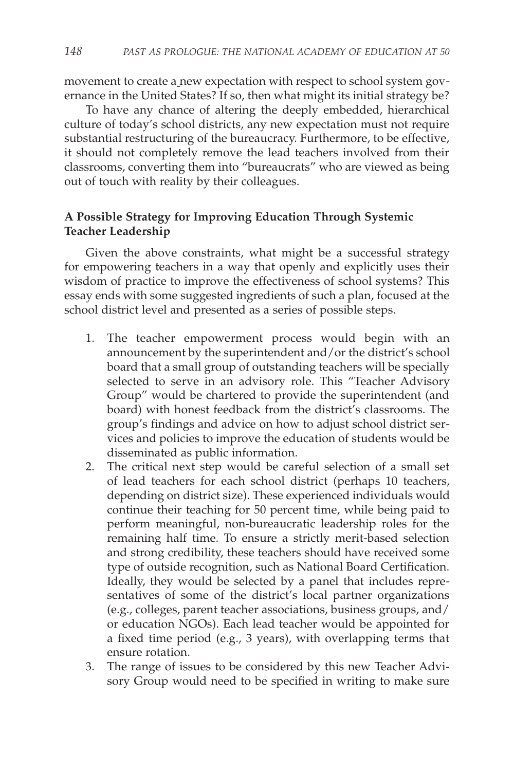movement to create a new expectation with respect to school system governance in the United States? If so, then what might its initial strategy be?

To have any chance of altering the deeply embedded, hierarchical culture of today's school districts, any new expectation must not require substantial restructuring of the bureaucracy. Furthermore, to be effective, it should not completely remove the lead teachers involved from their classrooms, converting them into "bureaucrats" who are viewed as being out of touch with reality by their colleagues.

# **A Possible Strategy for Improving Education Through Systemic Teacher Leadership**

Given the above constraints, what might be a successful strategy for empowering teachers in a way that openly and explicitly uses their wisdom of practice to improve the effectiveness of school systems? This essay ends with some suggested ingredients of such a plan, focused at the school district level and presented as a series of possible steps.

- 1. The teacher empowerment process would begin with an announcement by the superintendent and/or the district's school board that a small group of outstanding teachers will be specially selected to serve in an advisory role. This "Teacher Advisory Group" would be chartered to provide the superintendent (and board) with honest feedback from the district's classrooms. The group's findings and advice on how to adjust school district services and policies to improve the education of students would be disseminated as public information.
- 2. The critical next step would be careful selection of a small set of lead teachers for each school district (perhaps 10 teachers, depending on district size). These experienced individuals would continue their teaching for 50 percent time, while being paid to perform meaningful, non-bureaucratic leadership roles for the remaining half time. To ensure a strictly merit-based selection and strong credibility, these teachers should have received some type of outside recognition, such as National Board Certification. Ideally, they would be selected by a panel that includes representatives of some of the district's local partner organizations (e.g., colleges, parent teacher associations, business groups, and/ or education NGOs). Each lead teacher would be appointed for a fixed time period (e.g., 3 years), with overlapping terms that ensure rotation.
- 3. The range of issues to be considered by this new Teacher Advisory Group would need to be specified in writing to make sure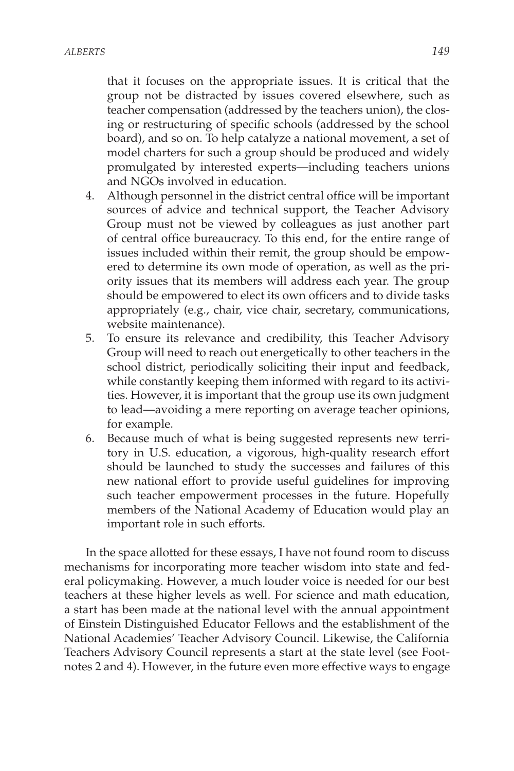that it focuses on the appropriate issues. It is critical that the group not be distracted by issues covered elsewhere, such as teacher compensation (addressed by the teachers union), the closing or restructuring of specific schools (addressed by the school board), and so on. To help catalyze a national movement, a set of model charters for such a group should be produced and widely promulgated by interested experts—including teachers unions and NGOs involved in education.

- 4. Although personnel in the district central office will be important sources of advice and technical support, the Teacher Advisory Group must not be viewed by colleagues as just another part of central office bureaucracy. To this end, for the entire range of issues included within their remit, the group should be empowered to determine its own mode of operation, as well as the priority issues that its members will address each year. The group should be empowered to elect its own officers and to divide tasks appropriately (e.g., chair, vice chair, secretary, communications, website maintenance).
- 5. To ensure its relevance and credibility, this Teacher Advisory Group will need to reach out energetically to other teachers in the school district, periodically soliciting their input and feedback, while constantly keeping them informed with regard to its activities. However, it is important that the group use its own judgment to lead—avoiding a mere reporting on average teacher opinions, for example.
- 6. Because much of what is being suggested represents new territory in U.S. education, a vigorous, high-quality research effort should be launched to study the successes and failures of this new national effort to provide useful guidelines for improving such teacher empowerment processes in the future. Hopefully members of the National Academy of Education would play an important role in such efforts.

In the space allotted for these essays, I have not found room to discuss mechanisms for incorporating more teacher wisdom into state and federal policymaking. However, a much louder voice is needed for our best teachers at these higher levels as well. For science and math education, a start has been made at the national level with the annual appointment of Einstein Distinguished Educator Fellows and the establishment of the National Academies' Teacher Advisory Council. Likewise, the California Teachers Advisory Council represents a start at the state level (see Footnotes 2 and 4). However, in the future even more effective ways to engage